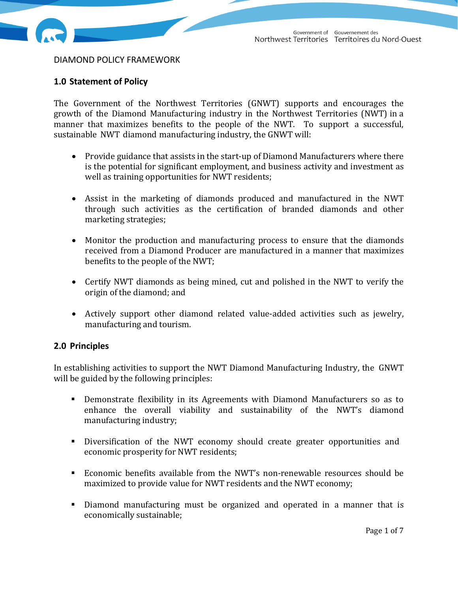

DIAMOND POLICY FRAMEWORK

# **1.0 Statement of Policy**

The Government of the Northwest Territories (GNWT) supports and encourages the growth of the Diamond Manufacturing industry in the Northwest Territories (NWT) in a manner that maximizes benefits to the people of the NWT. To support a successful, sustainable NWT diamond manufacturing industry, the GNWT will:

- Provide guidance that assists in the start-up of Diamond Manufacturers where there is the potential for significant employment, and business activity and investment as well as training opportunities for NWT residents;
- Assist in the marketing of diamonds produced and manufactured in the NWT through such activities as the certification of branded diamonds and other marketing strategies;
- Monitor the production and manufacturing process to ensure that the diamonds received from a Diamond Producer are manufactured in a manner that maximizes benefits to the people of the NWT;
- Certify NWT diamonds as being mined, cut and polished in the NWT to verify the origin of the diamond; and
- Actively support other diamond related value-added activities such as jewelry, manufacturing and tourism.

# **2.0 Principles**

In establishing activities to support the NWT Diamond Manufacturing Industry, the GNWT will be guided by the following principles:

- **•** Demonstrate flexibility in its Agreements with Diamond Manufacturers so as to enhance the overall viability and sustainability of the NWT's diamond manufacturing industry;
- Diversification of the NWT economy should create greater opportunities and economic prosperity for NWT residents;
- Economic benefits available from the NWT's non-renewable resources should be maximized to provide value for NWT residents and the NWT economy;
- Diamond manufacturing must be organized and operated in a manner that is economically sustainable;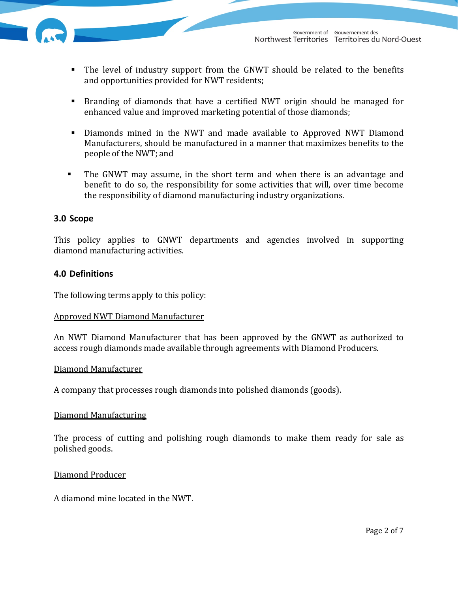

- The level of industry support from the GNWT should be related to the benefits and opportunities provided for NWT residents;
- **Branding of diamonds that have a certified NWT origin should be managed for** enhanced value and improved marketing potential of those diamonds;
- **Diamonds mined in the NWT and made available to Approved NWT Diamond** Manufacturers, should be manufactured in a manner that maximizes benefits to the people of the NWT; and
- **The GNWT** may assume, in the short term and when there is an advantage and benefit to do so, the responsibility for some activities that will, over time become the responsibility of diamond manufacturing industry organizations.

# **3.0 Scope**

This policy applies to GNWT departments and agencies involved in supporting diamond manufacturing activities.

# **4.0 Definitions**

The following terms apply to this policy:

# Approved NWT Diamond Manufacturer

An NWT Diamond Manufacturer that has been approved by the GNWT as authorized to access rough diamonds made available through agreements with Diamond Producers.

# Diamond Manufacturer

A company that processes rough diamonds into polished diamonds (goods).

# Diamond Manufacturing

The process of cutting and polishing rough diamonds to make them ready for sale as polished goods.

# Diamond Producer

A diamond mine located in the NWT.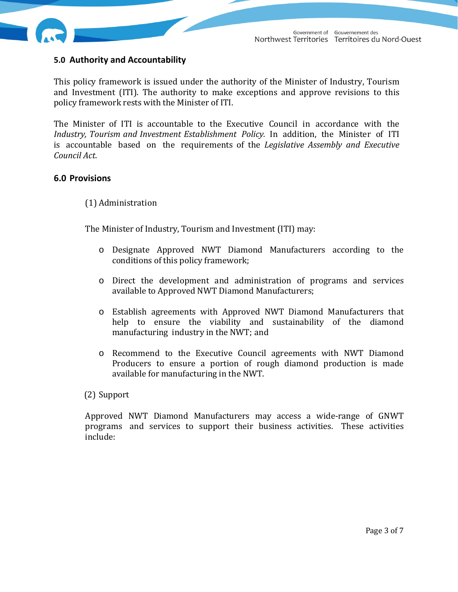

# **5.0 Authority and Accountability**

This policy framework is issued under the authority of the Minister of Industry, Tourism and Investment (ITI). The authority to make exceptions and approve revisions to this policy framework rests with the Minister of ITI.

The Minister of ITI is accountable to the Executive Council in accordance with the *Industry, Tourism and Investment Establishment Policy.* In addition, the Minister of ITI is accountable based on the requirements of the *Legislative Assembly and Executive Council Act*. 

# **6.0 Provisions**

# (1) Administration

The Minister of Industry, Tourism and Investment (ITI) may:

- o Designate Approved NWT Diamond Manufacturers according to the conditions of this policy framework;
- o Direct the development and administration of programs and services available to Approved NWT Diamond Manufacturers;
- o Establish agreements with Approved NWT Diamond Manufacturers that help to ensure the viability and sustainability of the diamond manufacturing industry in the NWT; and
- o Recommend to the Executive Council agreements with NWT Diamond Producers to ensure a portion of rough diamond production is made available for manufacturing in the NWT.

# (2) Support

Approved NWT Diamond Manufacturers may access a wide-range of GNWT programs and services to support their business activities. These activities include: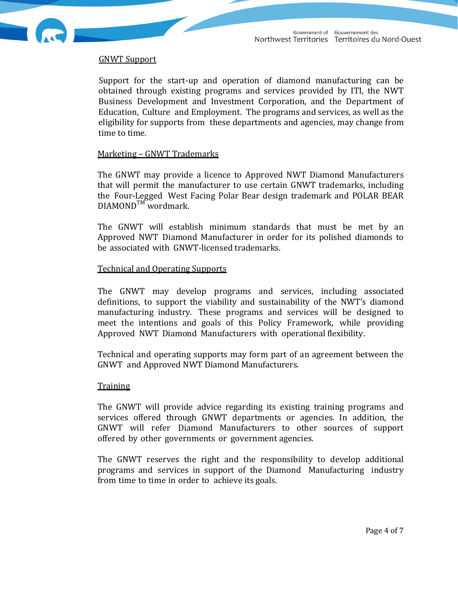

Support for the start-up and operation of diamond manufacturing can be obtained through existing programs and services provided by ITI, the NWT Business Development and Investment Corporation, and the Department of Education, Culture and Employment. The programs and services, as well as the eligibility for supports from these departments and agencies, may change from time to time.

#### Marketing – GNWT Trademarks

The GNWT may provide a licence to Approved NWT Diamond Manufacturers that will permit the manufacturer to use certain GNWT trademarks, including the Four-Legged West Facing Polar Bear design trademark and POLAR BEAR  $DIAMOND^{TM}$  wordmark.

The GNWT will establish minimum standards that must be met by an Approved NWT Diamond Manufacturer in order for its polished diamonds to be associated with GNWT-licensed trademarks.

#### **Technical and Operating Supports**

The GNWT may develop programs and services, including associated definitions, to support the viability and sustainability of the NWT's diamond manufacturing industry. These programs and services will be designed to meet the intentions and goals of this Policy Framework, while providing Approved NWT Diamond Manufacturers with operational flexibility.

Technical and operating supports may form part of an agreement between the GNWT and Approved NWT Diamond Manufacturers.

#### **Training**

The GNWT will provide advice regarding its existing training programs and services offered through GNWT departments or agencies. In addition, the GNWT will refer Diamond Manufacturers to other sources of support offered by other governments or government agencies.

The GNWT reserves the right and the responsibility to develop additional programs and services in support of the Diamond Manufacturing industry from time to time in order to achieve its goals.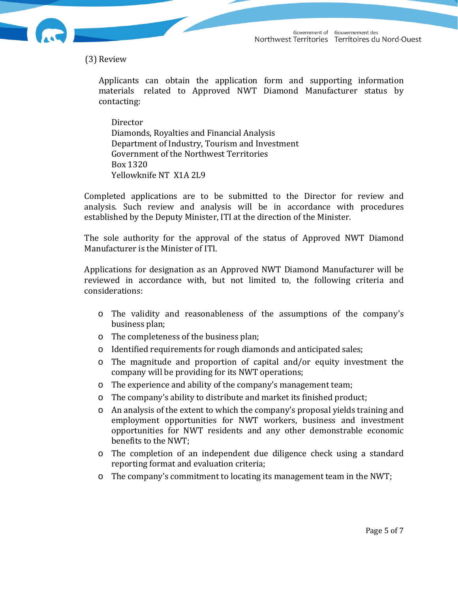Government of Gouvernement des<br>Northwest Territories Territoires du Nord-Ouest



(3) Review 

Applicants can obtain the application form and supporting information materials related to Approved NWT Diamond Manufacturer status by contacting: 

**Director** Diamonds, Royalties and Financial Analysis Department of Industry, Tourism and Investment Government of the Northwest Territories Box 1320 Yellowknife NT X1A 2L9

Completed applications are to be submitted to the Director for review and analysis. Such review and analysis will be in accordance with procedures established by the Deputy Minister, ITI at the direction of the Minister.

The sole authority for the approval of the status of Approved NWT Diamond Manufacturer is the Minister of ITI.

Applications for designation as an Approved NWT Diamond Manufacturer will be reviewed in accordance with, but not limited to, the following criteria and considerations: 

- o The validity and reasonableness of the assumptions of the company's business plan;
- o The completeness of the business plan;
- $\circ$  Identified requirements for rough diamonds and anticipated sales;
- $\circ$  The magnitude and proportion of capital and/or equity investment the company will be providing for its NWT operations;
- o The experience and ability of the company's management team;
- o The company's ability to distribute and market its finished product;
- $\circ$  An analysis of the extent to which the company's proposal yields training and employment opportunities for NWT workers, business and investment opportunities for NWT residents and any other demonstrable economic benefits to the NWT;
- $\circ$  The completion of an independent due diligence check using a standard reporting format and evaluation criteria;
- o The company's commitment to locating its management team in the NWT;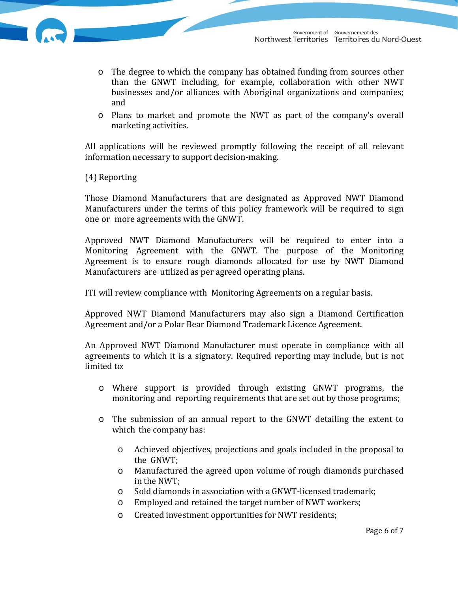- $\circ$  The degree to which the company has obtained funding from sources other than the GNWT including, for example, collaboration with other NWT businesses and/or alliances with Aboriginal organizations and companies; and
- $\circ$  Plans to market and promote the NWT as part of the company's overall marketing activities.

All applications will be reviewed promptly following the receipt of all relevant information necessary to support decision-making.

(4) Reporting 

Those Diamond Manufacturers that are designated as Approved NWT Diamond Manufacturers under the terms of this policy framework will be required to sign one or more agreements with the GNWT.

Approved NWT Diamond Manufacturers will be required to enter into a Monitoring Agreement with the GNWT. The purpose of the Monitoring Agreement is to ensure rough diamonds allocated for use by NWT Diamond Manufacturers are utilized as per agreed operating plans.

ITI will review compliance with Monitoring Agreements on a regular basis.

Approved NWT Diamond Manufacturers may also sign a Diamond Certification Agreement and/or a Polar Bear Diamond Trademark Licence Agreement.

An Approved NWT Diamond Manufacturer must operate in compliance with all agreements to which it is a signatory. Required reporting may include, but is not limited to:

- $\circ$  Where support is provided through existing GNWT programs, the monitoring and reporting requirements that are set out by those programs;
- o The submission of an annual report to the GNWT detailing the extent to which the company has:
	- $\circ$  Achieved objectives, projections and goals included in the proposal to the GNWT;
	- o Manufactured the agreed upon volume of rough diamonds purchased in the NWT;
	- Sold diamonds in association with a GNWT-licensed trademark;
	- o Employed and retained the target number of NWT workers;
	- o Created investment opportunities for NWT residents: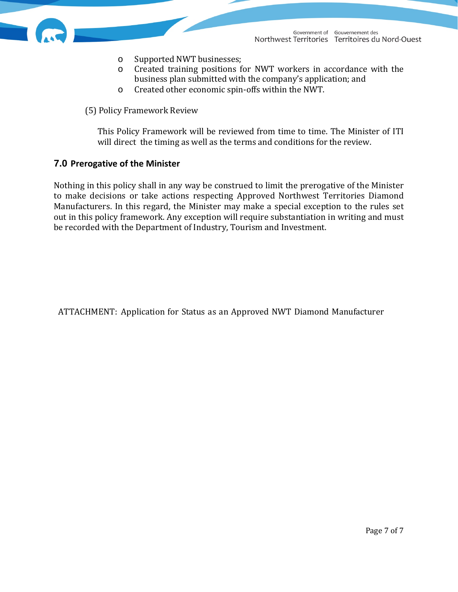- o Supported NWT businesses;
- o Created training positions for NWT workers in accordance with the business plan submitted with the company's application; and
- o Created other economic spin-offs within the NWT.

(5) Policy Framework Review 

This Policy Framework will be reviewed from time to time. The Minister of ITI will direct the timing as well as the terms and conditions for the review.

# **7.0 Prerogative of the Minister**

Nothing in this policy shall in any way be construed to limit the prerogative of the Minister to make decisions or take actions respecting Approved Northwest Territories Diamond Manufacturers. In this regard, the Minister may make a special exception to the rules set out in this policy framework. Any exception will require substantiation in writing and must be recorded with the Department of Industry, Tourism and Investment.

ATTACHMENT: Application for Status as an Approved NWT Diamond Manufacturer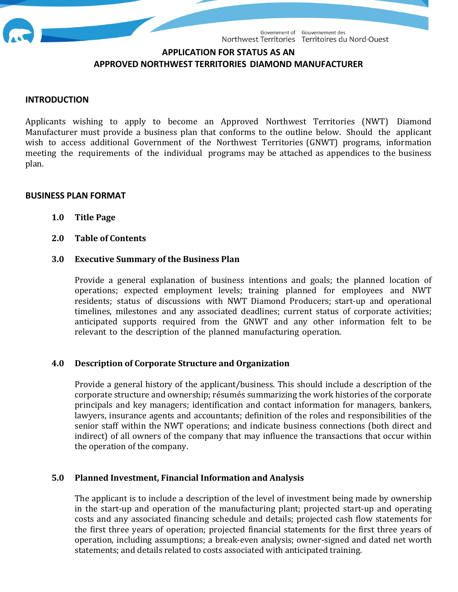

# **APPLICATION FOR STATUS AS AN APPROVED NORTHWEST TERRITORIES DIAMOND MANUFACTURER**

# **INTRODUCTION**

Applicants wishing to apply to become an Approved Northwest Territories (NWT) Diamond Manufacturer must provide a business plan that conforms to the outline below. Should the applicant wish to access additional Government of the Northwest Territories (GNWT) programs, information meeting the requirements of the individual programs may be attached as appendices to the business plan. 

#### **BUSINESS PLAN FORMAT**

- **1.0 Title Page**
- **2.0 Table of Contents**

#### **3.0 Executive Summary of the Business Plan**

Provide a general explanation of business intentions and goals; the planned location of operations; expected employment levels; training planned for employees and NWT residents; status of discussions with NWT Diamond Producers; start-up and operational timelines, milestones and any associated deadlines; current status of corporate activities; anticipated supports required from the GNWT and any other information felt to be relevant to the description of the planned manufacturing operation.

# **4.0 Description of Corporate Structure and Organization**

Provide a general history of the applicant/business. This should include a description of the corporate structure and ownership; résumés summarizing the work histories of the corporate principals and key managers; identification and contact information for managers, bankers, lawyers, insurance agents and accountants; definition of the roles and responsibilities of the senior staff within the NWT operations; and indicate business connections (both direct and indirect) of all owners of the company that may influence the transactions that occur within the operation of the company.

# **5.0 Planned Investment, Financial Information and Analysis**

The applicant is to include a description of the level of investment being made by ownership in the start-up and operation of the manufacturing plant; projected start-up and operating costs and any associated financing schedule and details; projected cash flow statements for the first three years of operation; projected financial statements for the first three years of operation, including assumptions; a break-even analysis; owner-signed and dated net worth statements; and details related to costs associated with anticipated training.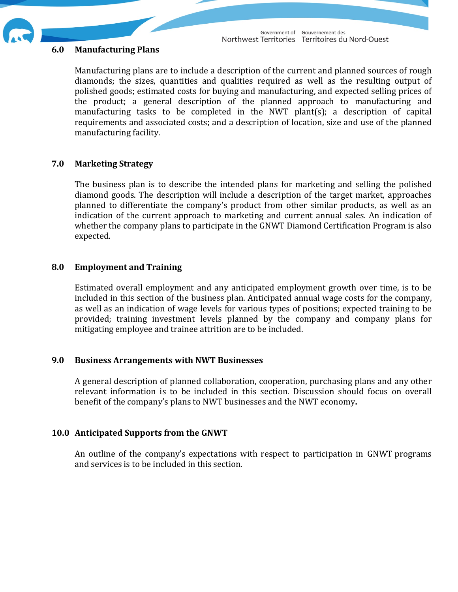

#### **6.0 Manufacturing Plans**

Manufacturing plans are to include a description of the current and planned sources of rough diamonds; the sizes, quantities and qualities required as well as the resulting output of polished goods; estimated costs for buying and manufacturing, and expected selling prices of the product; a general description of the planned approach to manufacturing and manufacturing tasks to be completed in the NWT plant(s); a description of capital requirements and associated costs; and a description of location, size and use of the planned manufacturing facility.

# **7.0 Marketing Strategy**

The business plan is to describe the intended plans for marketing and selling the polished diamond goods. The description will include a description of the target market, approaches planned to differentiate the company's product from other similar products, as well as an indication of the current approach to marketing and current annual sales. An indication of whether the company plans to participate in the GNWT Diamond Certification Program is also expected. 

# **8.0 Employment and Training**

Estimated overall employment and any anticipated employment growth over time, is to be included in this section of the business plan. Anticipated annual wage costs for the company, as well as an indication of wage levels for various types of positions; expected training to be provided; training investment levels planned by the company and company plans for mitigating employee and trainee attrition are to be included.

# **9.0 Business Arrangements with NWT Businesses**

A general description of planned collaboration, cooperation, purchasing plans and any other relevant information is to be included in this section. Discussion should focus on overall benefit of the company's plans to NWT businesses and the NWT economy.

# **10.0 Anticipated Supports from the GNWT**

An outline of the company's expectations with respect to participation in GNWT programs and services is to be included in this section.